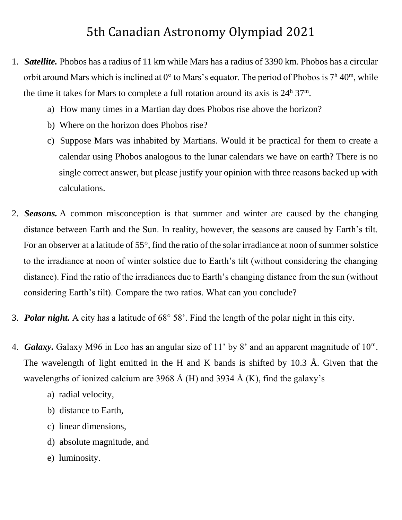## 5th Canadian Astronomy Olympiad 2021

- 1. *Satellite.* Phobos has a radius of 11 km while Mars has a radius of 3390 km. Phobos has a circular orbit around Mars which is inclined at  $0^{\circ}$  to Mars's equator. The period of Phobos is  $7^{\text{h}}$  40<sup>m</sup>, while the time it takes for Mars to complete a full rotation around its axis is  $24^{\text{h}} 37^{\text{m}}$ .
	- a) How many times in a Martian day does Phobos rise above the horizon?
	- b) Where on the horizon does Phobos rise?
	- c) Suppose Mars was inhabited by Martians. Would it be practical for them to create a calendar using Phobos analogous to the lunar calendars we have on earth? There is no single correct answer, but please justify your opinion with three reasons backed up with calculations.
- 2. *Seasons.* A common misconception is that summer and winter are caused by the changing distance between Earth and the Sun. In reality, however, the seasons are caused by Earth's tilt. For an observer at a latitude of 55°, find the ratio of the solar irradiance at noon of summer solstice to the irradiance at noon of winter solstice due to Earth's tilt (without considering the changing distance). Find the ratio of the irradiances due to Earth's changing distance from the sun (without considering Earth's tilt). Compare the two ratios. What can you conclude?
- 3. *Polar night.* A city has a latitude of 68° 58'. Find the length of the polar night in this city.
- 4. *Galaxy.* Galaxy M96 in Leo has an angular size of 11' by 8' and an apparent magnitude of 10<sup>m</sup>. The wavelength of light emitted in the H and K bands is shifted by 10.3 Å. Given that the wavelengths of ionized calcium are 3968 Å (H) and 3934 Å (K), find the galaxy's
	- a) radial velocity,
	- b) distance to Earth,
	- c) linear dimensions,
	- d) absolute magnitude, and
	- e) luminosity.